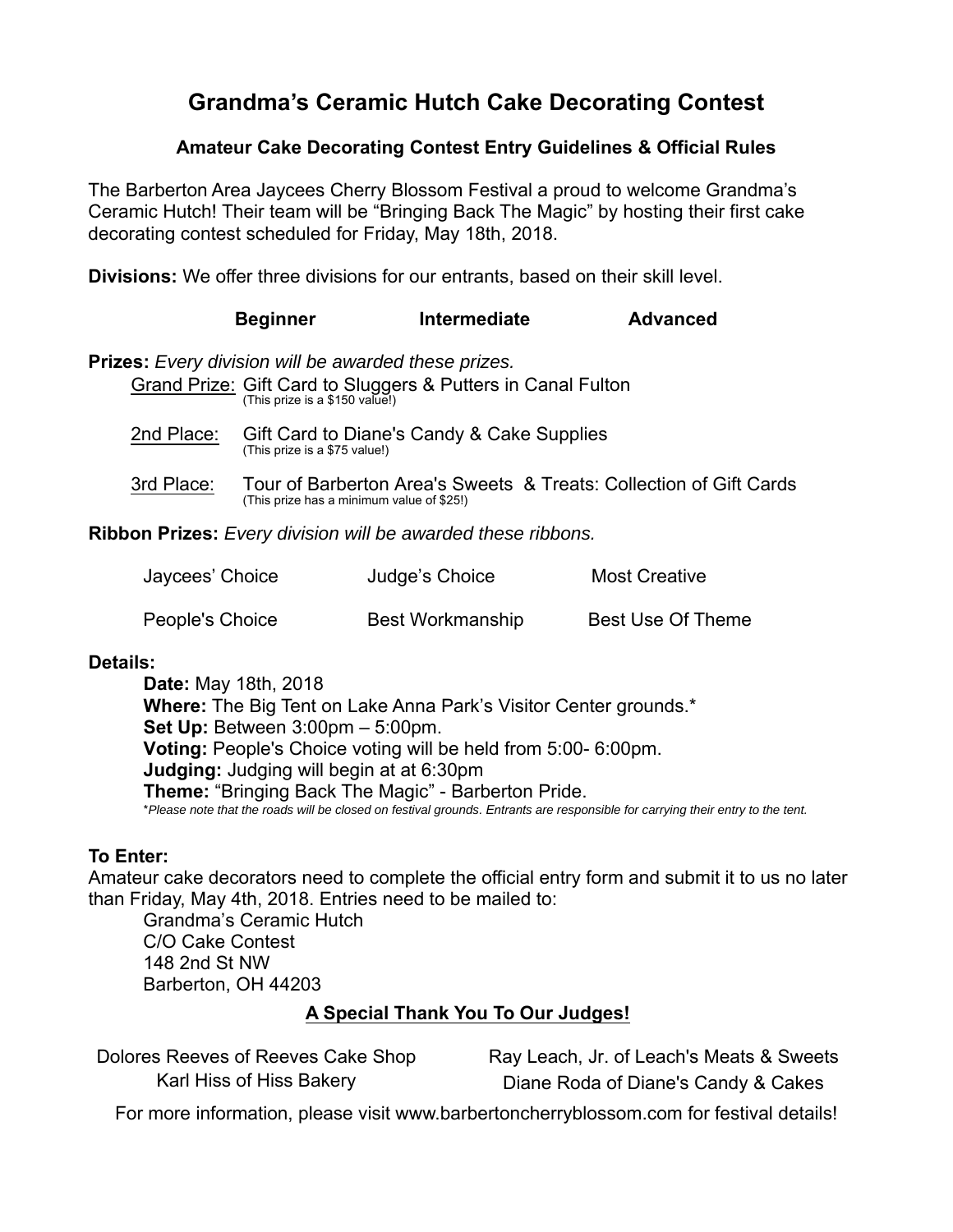# **Grandma's Ceramic Hutch Cake Decorating Contest**

### **Amateur Cake Decorating Contest Entry Guidelines & Official Rules**

The Barberton Area Jaycees Cherry Blossom Festival a proud to welcome Grandma's Ceramic Hutch! Their team will be "Bringing Back The Magic" by hosting their first cake decorating contest scheduled for Friday, May 18th, 2018.

**Divisions:** We offer three divisions for our entrants, based on their skill level.

|            | <b>Beginner</b>                                                                               | Intermediate                                                 | <b>Advanced</b> |
|------------|-----------------------------------------------------------------------------------------------|--------------------------------------------------------------|-----------------|
|            | <b>Prizes:</b> Every division will be awarded these prizes.<br>(This prize is a \$150 value!) | Grand Prize: Gift Card to Sluggers & Putters in Canal Fulton |                 |
| 2nd Place: | (This prize is a \$75 value!)                                                                 | Gift Card to Diane's Candy & Cake Supplies                   |                 |

3rd Place: Tour of Barberton Area's Sweets & Treats: Collection of Gift Cards (This prize has a minimum value of \$25!)

**Ribbon Prizes:** *Every division will be awarded these ribbons.*

| Jaycees' Choice | Judge's Choice          | <b>Most Creative</b>     |
|-----------------|-------------------------|--------------------------|
| People's Choice | <b>Best Workmanship</b> | <b>Best Use Of Theme</b> |

### **Details:**

**Date:** May 18th, 2018 **Where:** The Big Tent on Lake Anna Park's Visitor Center grounds.\* **Set Up:** Between 3:00pm – 5:00pm. **Voting:** People's Choice voting will be held from 5:00- 6:00pm. **Judging:** Judging will begin at at 6:30pm **Theme:** "Bringing Back The Magic" - Barberton Pride. \**Please note that the roads will be closed on festival grounds. Entrants are responsible for carrying their entry to the tent.*

## **To Enter:**

Amateur cake decorators need to complete the official entry form and submit it to us no later than Friday, May 4th, 2018. Entries need to be mailed to:

Grandma's Ceramic Hutch C/O Cake Contest 148 2nd St NW Barberton, OH 44203

## **A Special Thank You To Our Judges!**

| Dolores Reeves of Reeves Cake Shop | Ray Leach, Jr. of Leach's Meats & Sweets |
|------------------------------------|------------------------------------------|
| Karl Hiss of Hiss Bakery           | Diane Roda of Diane's Candy & Cakes      |

For more information, please visit www.barbertoncherryblossom.com for festival details!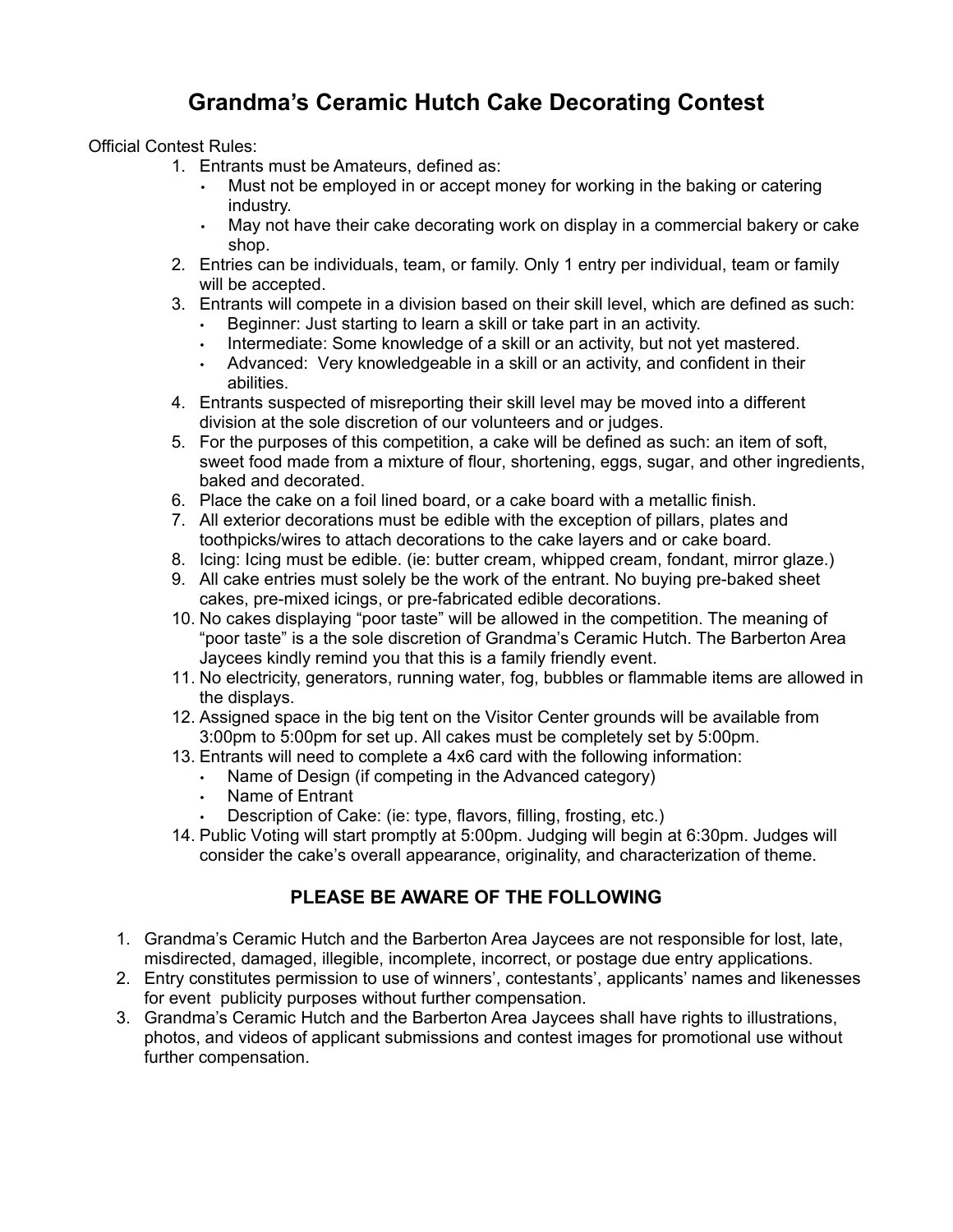# **Grandma's Ceramic Hutch Cake Decorating Contest**

Official Contest Rules:

- 1. Entrants must be Amateurs, defined as:
	- Must not be employed in or accept money for working in the baking or catering industry.
	- May not have their cake decorating work on display in a commercial bakery or cake shop.
- 2. Entries can be individuals, team, or family. Only 1 entry per individual, team or family will be accepted.
- 3. Entrants will compete in a division based on their skill level, which are defined as such:
	- Beginner: Just starting to learn a skill or take part in an activity.
	- Intermediate: Some knowledge of a skill or an activity, but not yet mastered.
	- Advanced: Very knowledgeable in a skill or an activity, and confident in their abilities.
- 4. Entrants suspected of misreporting their skill level may be moved into a different division at the sole discretion of our volunteers and or judges.
- 5. For the purposes of this competition, a cake will be defined as such: an item of soft, sweet food made from a mixture of flour, shortening, eggs, sugar, and other ingredients, baked and decorated.
- 6. Place the cake on a foil lined board, or a cake board with a metallic finish.
- 7. All exterior decorations must be edible with the exception of pillars, plates and toothpicks/wires to attach decorations to the cake layers and or cake board.
- 8. Icing: Icing must be edible. (ie: butter cream, whipped cream, fondant, mirror glaze.)
- 9. All cake entries must solely be the work of the entrant. No buying pre-baked sheet cakes, pre-mixed icings, or pre-fabricated edible decorations.
- 10. No cakes displaying "poor taste" will be allowed in the competition. The meaning of "poor taste" is a the sole discretion of Grandma's Ceramic Hutch. The Barberton Area Jaycees kindly remind you that this is a family friendly event.
- 11. No electricity, generators, running water, fog, bubbles or flammable items are allowed in the displays.
- 12. Assigned space in the big tent on the Visitor Center grounds will be available from 3:00pm to 5:00pm for set up. All cakes must be completely set by 5:00pm.
- 13. Entrants will need to complete a 4x6 card with the following information:
	- Name of Design (if competing in the Advanced category)
	- Name of Entrant
	- Description of Cake: (ie: type, flavors, filling, frosting, etc.)
- 14. Public Voting will start promptly at 5:00pm. Judging will begin at 6:30pm. Judges will consider the cake's overall appearance, originality, and characterization of theme.

### **PLEASE BE AWARE OF THE FOLLOWING**

- 1. Grandma's Ceramic Hutch and the Barberton Area Jaycees are not responsible for lost, late, misdirected, damaged, illegible, incomplete, incorrect, or postage due entry applications.
- 2. Entry constitutes permission to use of winners', contestants', applicants' names and likenesses for event publicity purposes without further compensation.
- 3. Grandma's Ceramic Hutch and the Barberton Area Jaycees shall have rights to illustrations, photos, and videos of applicant submissions and contest images for promotional use without further compensation.